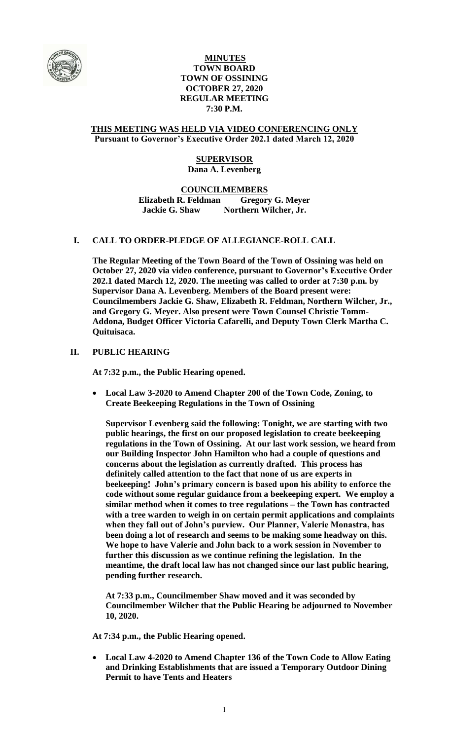

# **MINUTES TOWN BOARD TOWN OF OSSINING OCTOBER 27, 2020 REGULAR MEETING 7:30 P.M.**

### **THIS MEETING WAS HELD VIA VIDEO CONFERENCING ONLY Pursuant to Governor's Executive Order 202.1 dated March 12, 2020**

# **SUPERVISOR Dana A. Levenberg**

**COUNCILMEMBERS Elizabeth R. Feldman Gregory G. Meyer Jackie G. Shaw Northern Wilcher, Jr.**

# **I. CALL TO ORDER-PLEDGE OF ALLEGIANCE-ROLL CALL**

**The Regular Meeting of the Town Board of the Town of Ossining was held on October 27, 2020 via video conference, pursuant to Governor's Executive Order 202.1 dated March 12, 2020. The meeting was called to order at 7:30 p.m. by Supervisor Dana A. Levenberg. Members of the Board present were: Councilmembers Jackie G. Shaw, Elizabeth R. Feldman, Northern Wilcher, Jr., and Gregory G. Meyer. Also present were Town Counsel Christie Tomm-Addona, Budget Officer Victoria Cafarelli, and Deputy Town Clerk Martha C. Quituisaca.**

# **II. PUBLIC HEARING**

**At 7:32 p.m., the Public Hearing opened.**

 **Local Law 3-2020 to Amend Chapter 200 of the Town Code, Zoning, to Create Beekeeping Regulations in the Town of Ossining**

**Supervisor Levenberg said the following: Tonight, we are starting with two public hearings, the first on our proposed legislation to create beekeeping regulations in the Town of Ossining. At our last work session, we heard from our Building Inspector John Hamilton who had a couple of questions and concerns about the legislation as currently drafted. This process has definitely called attention to the fact that none of us are experts in beekeeping! John's primary concern is based upon his ability to enforce the code without some regular guidance from a beekeeping expert. We employ a similar method when it comes to tree regulations – the Town has contracted with a tree warden to weigh in on certain permit applications and complaints when they fall out of John's purview. Our Planner, Valerie Monastra, has been doing a lot of research and seems to be making some headway on this. We hope to have Valerie and John back to a work session in November to further this discussion as we continue refining the legislation. In the meantime, the draft local law has not changed since our last public hearing, pending further research.**

**At 7:33 p.m., Councilmember Shaw moved and it was seconded by Councilmember Wilcher that the Public Hearing be adjourned to November 10, 2020.** 

**At 7:34 p.m., the Public Hearing opened.**

 **Local Law 4-2020 to Amend Chapter 136 of the Town Code to Allow Eating and Drinking Establishments that are issued a Temporary Outdoor Dining Permit to have Tents and Heaters**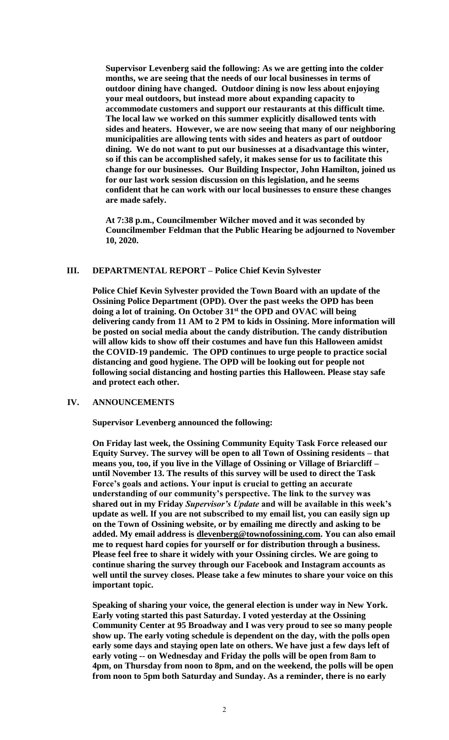**Supervisor Levenberg said the following: As we are getting into the colder months, we are seeing that the needs of our local businesses in terms of outdoor dining have changed. Outdoor dining is now less about enjoying your meal outdoors, but instead more about expanding capacity to accommodate customers and support our restaurants at this difficult time. The local law we worked on this summer explicitly disallowed tents with sides and heaters. However, we are now seeing that many of our neighboring municipalities are allowing tents with sides and heaters as part of outdoor dining. We do not want to put our businesses at a disadvantage this winter, so if this can be accomplished safely, it makes sense for us to facilitate this change for our businesses. Our Building Inspector, John Hamilton, joined us for our last work session discussion on this legislation, and he seems confident that he can work with our local businesses to ensure these changes are made safely.** 

**At 7:38 p.m., Councilmember Wilcher moved and it was seconded by Councilmember Feldman that the Public Hearing be adjourned to November 10, 2020.** 

#### **III. DEPARTMENTAL REPORT – Police Chief Kevin Sylvester**

**Police Chief Kevin Sylvester provided the Town Board with an update of the Ossining Police Department (OPD). Over the past weeks the OPD has been doing a lot of training. On October 31st the OPD and OVAC will being delivering candy from 11 AM to 2 PM to kids in Ossining. More information will be posted on social media about the candy distribution. The candy distribution will allow kids to show off their costumes and have fun this Halloween amidst the COVID-19 pandemic. The OPD continues to urge people to practice social distancing and good hygiene. The OPD will be looking out for people not following social distancing and hosting parties this Halloween. Please stay safe and protect each other.** 

### **IV. ANNOUNCEMENTS**

**Supervisor Levenberg announced the following:** 

**On Friday last week, the Ossining Community Equity Task Force released our Equity Survey. The survey will be open to all Town of Ossining residents – that means you, too, if you live in the Village of Ossining or Village of Briarcliff – until November 13. The results of this survey will be used to direct the Task Force's goals and actions. Your input is crucial to getting an accurate understanding of our community's perspective. The link to the survey was shared out in my Friday** *Supervisor's Update* **and will be available in this week's update as well. If you are not subscribed to my email list, you can easily sign up on the Town of Ossining website, or by emailing me directly and asking to be added. My email address is [dlevenberg@townofossining.com.](mailto:dlevenberg@townofossining.com) You can also email me to request hard copies for yourself or for distribution through a business. Please feel free to share it widely with your Ossining circles. We are going to continue sharing the survey through our Facebook and Instagram accounts as well until the survey closes. Please take a few minutes to share your voice on this important topic.** 

**Speaking of sharing your voice, the general election is under way in New York. Early voting started this past Saturday. I voted yesterday at the Ossining Community Center at 95 Broadway and I was very proud to see so many people show up. The early voting schedule is dependent on the day, with the polls open early some days and staying open late on others. We have just a few days left of early voting -- on Wednesday and Friday the polls will be open from 8am to 4pm, on Thursday from noon to 8pm, and on the weekend, the polls will be open from noon to 5pm both Saturday and Sunday. As a reminder, there is no early**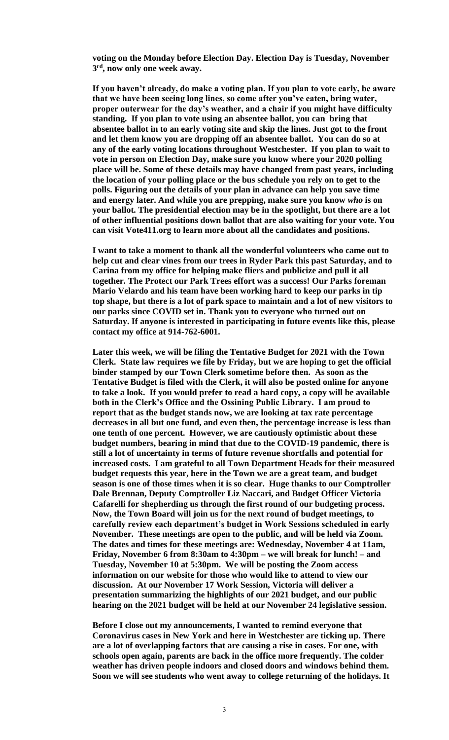**voting on the Monday before Election Day. Election Day is Tuesday, November 3 rd, now only one week away.** 

**If you haven't already, do make a voting plan. If you plan to vote early, be aware that we have been seeing long lines, so come after you've eaten, bring water, proper outerwear for the day's weather, and a chair if you might have difficulty standing. If you plan to vote using an absentee ballot, you can bring that absentee ballot in to an early voting site and skip the lines. Just got to the front and let them know you are dropping off an absentee ballot. You can do so at any of the early voting locations throughout Westchester. If you plan to wait to vote in person on Election Day, make sure you know where your 2020 polling place will be. Some of these details may have changed from past years, including the location of your polling place or the bus schedule you rely on to get to the polls. Figuring out the details of your plan in advance can help you save time and energy later. And while you are prepping, make sure you know** *who* **is on your ballot. The presidential election may be in the spotlight, but there are a lot of other influential positions down ballot that are also waiting for your vote. You can visit Vote411.org to learn more about all the candidates and positions.** 

**I want to take a moment to thank all the wonderful volunteers who came out to help cut and clear vines from our trees in Ryder Park this past Saturday, and to Carina from my office for helping make fliers and publicize and pull it all together. The Protect our Park Trees effort was a success! Our Parks foreman Mario Velardo and his team have been working hard to keep our parks in tip top shape, but there is a lot of park space to maintain and a lot of new visitors to our parks since COVID set in. Thank you to everyone who turned out on Saturday. If anyone is interested in participating in future events like this, please contact my office at 914-762-6001.** 

**Later this week, we will be filing the Tentative Budget for 2021 with the Town Clerk. State law requires we file by Friday, but we are hoping to get the official binder stamped by our Town Clerk sometime before then. As soon as the Tentative Budget is filed with the Clerk, it will also be posted online for anyone to take a look. If you would prefer to read a hard copy, a copy will be available both in the Clerk's Office and the Ossining Public Library. I am proud to report that as the budget stands now, we are looking at tax rate percentage decreases in all but one fund, and even then, the percentage increase is less than one tenth of one percent. However, we are cautiously optimistic about these budget numbers, bearing in mind that due to the COVID-19 pandemic, there is still a lot of uncertainty in terms of future revenue shortfalls and potential for increased costs. I am grateful to all Town Department Heads for their measured budget requests this year, here in the Town we are a great team, and budget season is one of those times when it is so clear. Huge thanks to our Comptroller Dale Brennan, Deputy Comptroller Liz Naccari, and Budget Officer Victoria Cafarelli for shepherding us through the first round of our budgeting process. Now, the Town Board will join us for the next round of budget meetings, to carefully review each department's budget in Work Sessions scheduled in early November. These meetings are open to the public, and will be held via Zoom. The dates and times for these meetings are: Wednesday, November 4 at 11am, Friday, November 6 from 8:30am to 4:30pm – we will break for lunch! – and Tuesday, November 10 at 5:30pm. We will be posting the Zoom access information on our website for those who would like to attend to view our discussion. At our November 17 Work Session, Victoria will deliver a presentation summarizing the highlights of our 2021 budget, and our public hearing on the 2021 budget will be held at our November 24 legislative session.** 

**Before I close out my announcements, I wanted to remind everyone that Coronavirus cases in New York and here in Westchester are ticking up. There are a lot of overlapping factors that are causing a rise in cases. For one, with schools open again, parents are back in the office more frequently. The colder weather has driven people indoors and closed doors and windows behind them. Soon we will see students who went away to college returning of the holidays. It**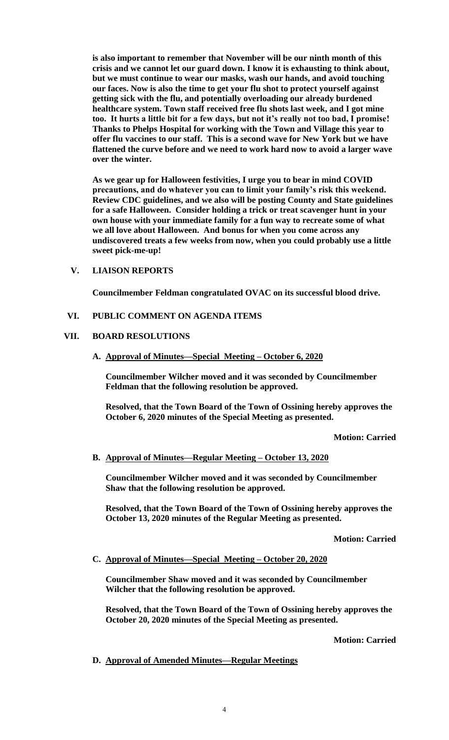**is also important to remember that November will be our ninth month of this crisis and we cannot let our guard down. I know it is exhausting to think about, but we must continue to wear our masks, wash our hands, and avoid touching our faces. Now is also the time to get your flu shot to protect yourself against getting sick with the flu, and potentially overloading our already burdened healthcare system. Town staff received free flu shots last week, and I got mine too. It hurts a little bit for a few days, but not it's really not too bad, I promise! Thanks to Phelps Hospital for working with the Town and Village this year to offer flu vaccines to our staff. This is a second wave for New York but we have flattened the curve before and we need to work hard now to avoid a larger wave over the winter.** 

**As we gear up for Halloween festivities, I urge you to bear in mind COVID precautions, and do whatever you can to limit your family's risk this weekend. Review CDC guidelines, and we also will be posting County and State guidelines for a safe Halloween. Consider holding a trick or treat scavenger hunt in your own house with your immediate family for a fun way to recreate some of what we all love about Halloween. And bonus for when you come across any undiscovered treats a few weeks from now, when you could probably use a little sweet pick-me-up!** 

# **V. LIAISON REPORTS**

**Councilmember Feldman congratulated OVAC on its successful blood drive.**

# **VI. PUBLIC COMMENT ON AGENDA ITEMS**

# **VII. BOARD RESOLUTIONS**

**A. Approval of Minutes—Special Meeting – October 6, 2020**

**Councilmember Wilcher moved and it was seconded by Councilmember Feldman that the following resolution be approved.**

**Resolved, that the Town Board of the Town of Ossining hereby approves the October 6, 2020 minutes of the Special Meeting as presented.**

**Motion: Carried**

# **B. Approval of Minutes—Regular Meeting – October 13, 2020**

**Councilmember Wilcher moved and it was seconded by Councilmember Shaw that the following resolution be approved.**

**Resolved, that the Town Board of the Town of Ossining hereby approves the October 13, 2020 minutes of the Regular Meeting as presented.**

**Motion: Carried**

**C. Approval of Minutes—Special Meeting – October 20, 2020**

**Councilmember Shaw moved and it was seconded by Councilmember Wilcher that the following resolution be approved.**

**Resolved, that the Town Board of the Town of Ossining hereby approves the October 20, 2020 minutes of the Special Meeting as presented.**

**Motion: Carried**

# **D. Approval of Amended Minutes—Regular Meetings**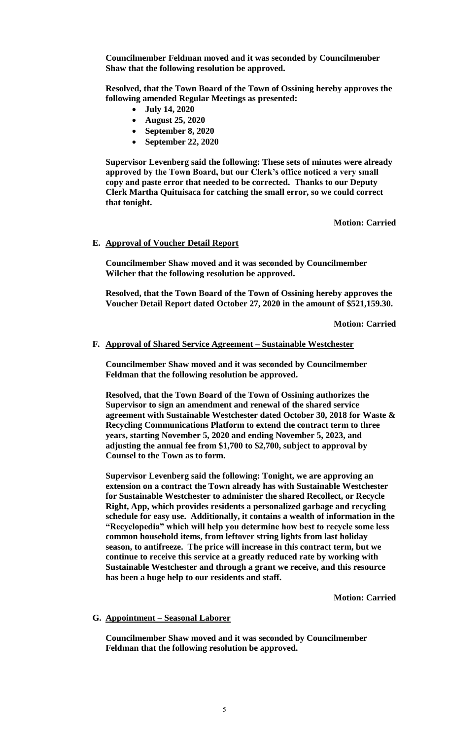**Councilmember Feldman moved and it was seconded by Councilmember Shaw that the following resolution be approved.**

**Resolved, that the Town Board of the Town of Ossining hereby approves the following amended Regular Meetings as presented:** 

- **July 14, 2020**
- **August 25, 2020**
- **September 8, 2020**
- **September 22, 2020**

**Supervisor Levenberg said the following: These sets of minutes were already approved by the Town Board, but our Clerk's office noticed a very small copy and paste error that needed to be corrected. Thanks to our Deputy Clerk Martha Quituisaca for catching the small error, so we could correct that tonight.** 

**Motion: Carried**

#### **E. Approval of Voucher Detail Report**

**Councilmember Shaw moved and it was seconded by Councilmember Wilcher that the following resolution be approved.**

**Resolved, that the Town Board of the Town of Ossining hereby approves the Voucher Detail Report dated October 27, 2020 in the amount of \$521,159.30.**

**Motion: Carried**

#### **F. Approval of Shared Service Agreement – Sustainable Westchester**

**Councilmember Shaw moved and it was seconded by Councilmember Feldman that the following resolution be approved.**

**Resolved, that the Town Board of the Town of Ossining authorizes the Supervisor to sign an amendment and renewal of the shared service agreement with Sustainable Westchester dated October 30, 2018 for Waste & Recycling Communications Platform to extend the contract term to three years, starting November 5, 2020 and ending November 5, 2023, and adjusting the annual fee from \$1,700 to \$2,700, subject to approval by Counsel to the Town as to form.** 

**Supervisor Levenberg said the following: Tonight, we are approving an extension on a contract the Town already has with Sustainable Westchester for Sustainable Westchester to administer the shared Recollect, or Recycle Right, App, which provides residents a personalized garbage and recycling schedule for easy use. Additionally, it contains a wealth of information in the "Recyclopedia" which will help you determine how best to recycle some less common household items, from leftover string lights from last holiday season, to antifreeze. The price will increase in this contract term, but we continue to receive this service at a greatly reduced rate by working with Sustainable Westchester and through a grant we receive, and this resource has been a huge help to our residents and staff.** 

**Motion: Carried**

#### **G. Appointment – Seasonal Laborer**

**Councilmember Shaw moved and it was seconded by Councilmember Feldman that the following resolution be approved.**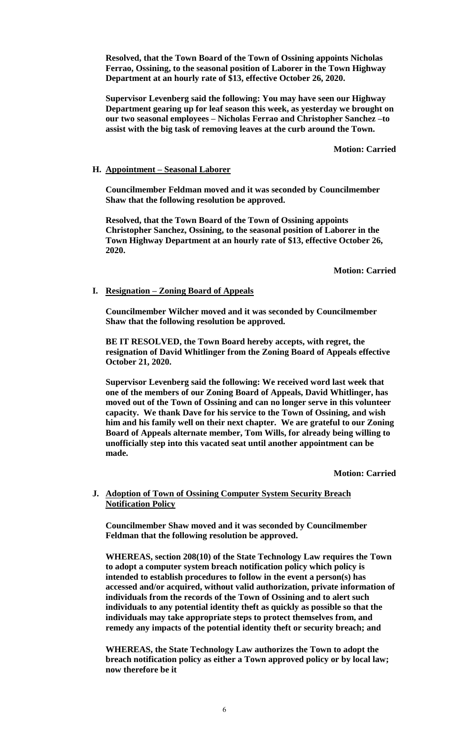**Resolved, that the Town Board of the Town of Ossining appoints Nicholas Ferrao, Ossining, to the seasonal position of Laborer in the Town Highway Department at an hourly rate of \$13, effective October 26, 2020.**

**Supervisor Levenberg said the following: You may have seen our Highway Department gearing up for leaf season this week, as yesterday we brought on our two seasonal employees – Nicholas Ferrao and Christopher Sanchez –to assist with the big task of removing leaves at the curb around the Town.** 

**Motion: Carried**

### **H. Appointment – Seasonal Laborer**

**Councilmember Feldman moved and it was seconded by Councilmember Shaw that the following resolution be approved.**

**Resolved, that the Town Board of the Town of Ossining appoints Christopher Sanchez, Ossining, to the seasonal position of Laborer in the Town Highway Department at an hourly rate of \$13, effective October 26, 2020.** 

**Motion: Carried**

### **I. Resignation – Zoning Board of Appeals**

**Councilmember Wilcher moved and it was seconded by Councilmember Shaw that the following resolution be approved.**

**BE IT RESOLVED, the Town Board hereby accepts, with regret, the resignation of David Whitlinger from the Zoning Board of Appeals effective October 21, 2020.**

**Supervisor Levenberg said the following: We received word last week that one of the members of our Zoning Board of Appeals, David Whitlinger, has moved out of the Town of Ossining and can no longer serve in this volunteer capacity. We thank Dave for his service to the Town of Ossining, and wish him and his family well on their next chapter. We are grateful to our Zoning Board of Appeals alternate member, Tom Wills, for already being willing to unofficially step into this vacated seat until another appointment can be made.** 

**Motion: Carried**

### **J. Adoption of Town of Ossining Computer System Security Breach Notification Policy**

**Councilmember Shaw moved and it was seconded by Councilmember Feldman that the following resolution be approved.**

**WHEREAS, section 208(10) of the State Technology Law requires the Town to adopt a computer system breach notification policy which policy is intended to establish procedures to follow in the event a person(s) has accessed and/or acquired, without valid authorization, private information of individuals from the records of the Town of Ossining and to alert such individuals to any potential identity theft as quickly as possible so that the individuals may take appropriate steps to protect themselves from, and remedy any impacts of the potential identity theft or security breach; and**

**WHEREAS, the State Technology Law authorizes the Town to adopt the breach notification policy as either a Town approved policy or by local law; now therefore be it**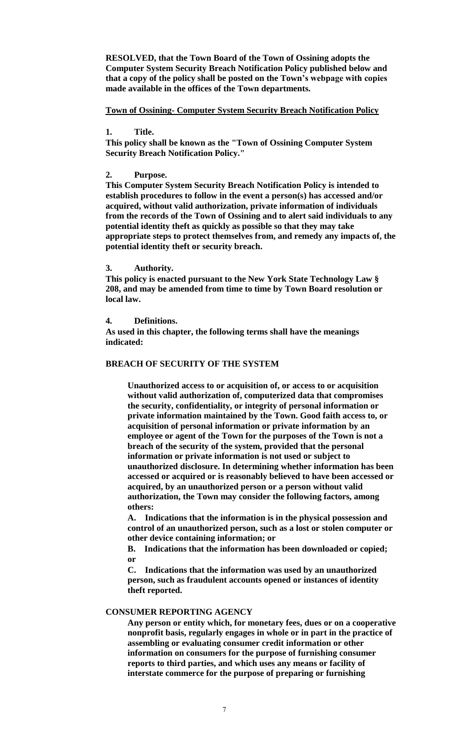**RESOLVED, that the Town Board of the Town of Ossining adopts the Computer System Security Breach Notification Policy published below and that a copy of the policy shall be posted on the Town's webpage with copies made available in the offices of the Town departments.**

**Town of Ossining- Computer System Security Breach Notification Policy**

**1. Title.** 

**This policy shall be known as the "Town of Ossining Computer System Security Breach Notification Policy."**

**2. Purpose.** 

**This Computer System Security Breach Notification Policy is intended to establish procedures to follow in the event a person(s) has accessed and/or acquired, without valid authorization, private information of individuals from the records of the Town of Ossining and to alert said individuals to any potential identity theft as quickly as possible so that they may take appropriate steps to protect themselves from, and remedy any impacts of, the potential identity theft or security breach.**

**3. Authority.** 

**This policy is enacted pursuant to the New York State Technology Law § 208, and may be amended from time to time by Town Board resolution or local law.**

**4. Definitions.** 

**As used in this chapter, the following terms shall have the meanings indicated:**

### **BREACH OF SECURITY OF THE SYSTEM**

**Unauthorized access to or acquisition of, or access to or acquisition without valid authorization of, computerized data that compromises the security, confidentiality, or integrity of personal information or private information maintained by the Town. Good faith access to, or acquisition of personal information or private information by an employee or agent of the Town for the purposes of the Town is not a breach of the security of the system, provided that the personal information or private information is not used or subject to unauthorized disclosure. In determining whether information has been accessed or acquired or is reasonably believed to have been accessed or acquired, by an unauthorized person or a person without valid authorization, the Town may consider the following factors, among others:**

**A. Indications that the information is in the physical possession and control of an unauthorized person, such as a lost or stolen computer or other device containing information; or** 

**B. Indications that the information has been downloaded or copied; or** 

**C. Indications that the information was used by an unauthorized person, such as fraudulent accounts opened or instances of identity theft reported.** 

#### **CONSUMER REPORTING AGENCY**

**Any person or entity which, for monetary fees, dues or on a cooperative nonprofit basis, regularly engages in whole or in part in the practice of assembling or evaluating consumer credit information or other information on consumers for the purpose of furnishing consumer reports to third parties, and which uses any means or facility of interstate commerce for the purpose of preparing or furnishing**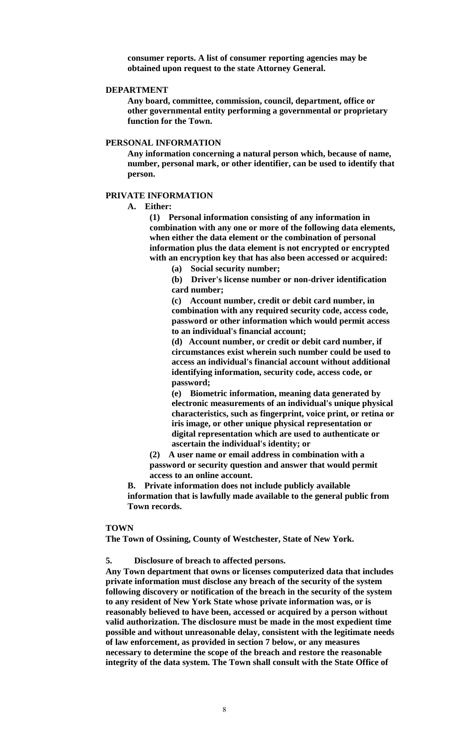**consumer reports. A list of consumer reporting agencies may be obtained upon request to the state Attorney General.**

#### **DEPARTMENT**

**Any board, committee, commission, council, department, office or other governmental entity performing a governmental or proprietary function for the Town.**

#### **PERSONAL INFORMATION**

**Any information concerning a natural person which, because of name, number, personal mark, or other identifier, can be used to identify that person.**

#### **PRIVATE INFORMATION**

**A. Either:**

**(1) Personal information consisting of any information in combination with any one or more of the following data elements, when either the data element or the combination of personal information plus the data element is not encrypted or encrypted with an encryption key that has also been accessed or acquired:**

**(a) Social security number;** 

**(b) Driver's license number or non-driver identification card number;** 

**(c) Account number, credit or debit card number, in combination with any required security code, access code, password or other information which would permit access to an individual's financial account;** 

**(d) Account number, or credit or debit card number, if circumstances exist wherein such number could be used to access an individual's financial account without additional identifying information, security code, access code, or password;** 

**(e) Biometric information, meaning data generated by electronic measurements of an individual's unique physical characteristics, such as fingerprint, voice print, or retina or iris image, or other unique physical representation or digital representation which are used to authenticate or ascertain the individual's identity; or** 

**(2) A user name or email address in combination with a password or security question and answer that would permit access to an online account.** 

**B. Private information does not include publicly available information that is lawfully made available to the general public from Town records.** 

#### **TOWN**

**The Town of Ossining, County of Westchester, State of New York.**

**5. Disclosure of breach to affected persons.** 

**Any Town department that owns or licenses computerized data that includes private information must disclose any breach of the security of the system following discovery or notification of the breach in the security of the system to any resident of New York State whose private information was, or is reasonably believed to have been, accessed or acquired by a person without valid authorization. The disclosure must be made in the most expedient time possible and without unreasonable delay, consistent with the legitimate needs of law enforcement, as provided in section 7 below, or any measures necessary to determine the scope of the breach and restore the reasonable integrity of the data system. The Town shall consult with the State Office of**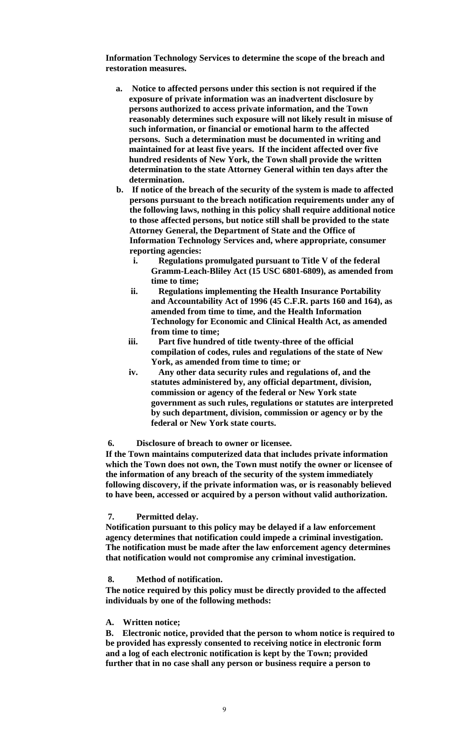**Information Technology Services to determine the scope of the breach and restoration measures.**

- **a. Notice to affected persons under this section is not required if the exposure of private information was an inadvertent disclosure by persons authorized to access private information, and the Town reasonably determines such exposure will not likely result in misuse of such information, or financial or emotional harm to the affected persons. Such a determination must be documented in writing and maintained for at least five years. If the incident affected over five hundred residents of New York, the Town shall provide the written determination to the state Attorney General within ten days after the determination.**
- **b. If notice of the breach of the security of the system is made to affected persons pursuant to the breach notification requirements under any of the following laws, nothing in this policy shall require additional notice to those affected persons, but notice still shall be provided to the state Attorney General, the Department of State and the Office of Information Technology Services and, where appropriate, consumer reporting agencies:**
	- **i. Regulations promulgated pursuant to Title V of the federal Gramm-Leach-Bliley Act (15 USC 6801-6809), as amended from time to time;**
	- **ii. Regulations implementing the Health Insurance Portability and Accountability Act of 1996 (45 C.F.R. parts 160 and 164), as amended from time to time, and the Health Information Technology for Economic and Clinical Health Act, as amended from time to time;**
	- **iii. Part five hundred of title twenty-three of the official compilation of codes, rules and regulations of the state of New York, as amended from time to time; or**
	- **iv. Any other data security rules and regulations of, and the statutes administered by, any official department, division, commission or agency of the federal or New York state government as such rules, regulations or statutes are interpreted by such department, division, commission or agency or by the federal or New York state courts.**

#### **6. Disclosure of breach to owner or licensee.**

**If the Town maintains computerized data that includes private information which the Town does not own, the Town must notify the owner or licensee of the information of any breach of the security of the system immediately following discovery, if the private information was, or is reasonably believed to have been, accessed or acquired by a person without valid authorization.**

# **7. Permitted delay.**

**Notification pursuant to this policy may be delayed if a law enforcement agency determines that notification could impede a criminal investigation. The notification must be made after the law enforcement agency determines that notification would not compromise any criminal investigation.**

#### **8. Method of notification.**

**The notice required by this policy must be directly provided to the affected individuals by one of the following methods:**

#### **A. Written notice;**

**B. Electronic notice, provided that the person to whom notice is required to be provided has expressly consented to receiving notice in electronic form and a log of each electronic notification is kept by the Town; provided further that in no case shall any person or business require a person to**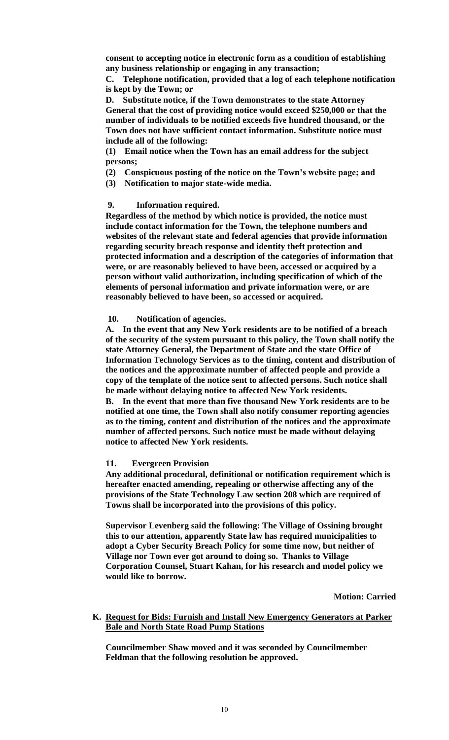**consent to accepting notice in electronic form as a condition of establishing any business relationship or engaging in any transaction;** 

**C. Telephone notification, provided that a log of each telephone notification is kept by the Town; or** 

**D. Substitute notice, if the Town demonstrates to the state Attorney General that the cost of providing notice would exceed \$250,000 or that the number of individuals to be notified exceeds five hundred thousand, or the Town does not have sufficient contact information. Substitute notice must include all of the following:**

**(1) Email notice when the Town has an email address for the subject persons;** 

- **(2) Conspicuous posting of the notice on the Town's website page; and**
- **(3) Notification to major state-wide media.**

### **9. Information required.**

**Regardless of the method by which notice is provided, the notice must include contact information for the Town, the telephone numbers and websites of the relevant state and federal agencies that provide information regarding security breach response and identity theft protection and protected information and a description of the categories of information that were, or are reasonably believed to have been, accessed or acquired by a person without valid authorization, including specification of which of the elements of personal information and private information were, or are reasonably believed to have been, so accessed or acquired.**

### **10. Notification of agencies.**

**A. In the event that any New York residents are to be notified of a breach of the security of the system pursuant to this policy, the Town shall notify the state Attorney General, the Department of State and the state Office of Information Technology Services as to the timing, content and distribution of the notices and the approximate number of affected people and provide a copy of the template of the notice sent to affected persons. Such notice shall be made without delaying notice to affected New York residents.** 

**B. In the event that more than five thousand New York residents are to be notified at one time, the Town shall also notify consumer reporting agencies as to the timing, content and distribution of the notices and the approximate number of affected persons. Such notice must be made without delaying notice to affected New York residents.**

# **11. Evergreen Provision**

**Any additional procedural, definitional or notification requirement which is hereafter enacted amending, repealing or otherwise affecting any of the provisions of the State Technology Law section 208 which are required of Towns shall be incorporated into the provisions of this policy.**

**Supervisor Levenberg said the following: The Village of Ossining brought this to our attention, apparently State law has required municipalities to adopt a Cyber Security Breach Policy for some time now, but neither of Village nor Town ever got around to doing so. Thanks to Village Corporation Counsel, Stuart Kahan, for his research and model policy we would like to borrow.** 

**Motion: Carried**

**K. Request for Bids: Furnish and Install New Emergency Generators at Parker Bale and North State Road Pump Stations**

**Councilmember Shaw moved and it was seconded by Councilmember Feldman that the following resolution be approved.**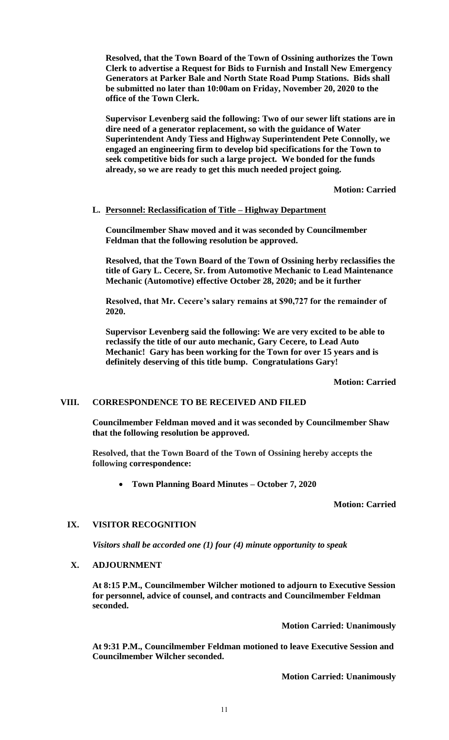**Resolved, that the Town Board of the Town of Ossining authorizes the Town Clerk to advertise a Request for Bids to Furnish and Install New Emergency Generators at Parker Bale and North State Road Pump Stations. Bids shall be submitted no later than 10:00am on Friday, November 20, 2020 to the office of the Town Clerk.** 

**Supervisor Levenberg said the following: Two of our sewer lift stations are in dire need of a generator replacement, so with the guidance of Water Superintendent Andy Tiess and Highway Superintendent Pete Connolly, we engaged an engineering firm to develop bid specifications for the Town to seek competitive bids for such a large project. We bonded for the funds already, so we are ready to get this much needed project going.** 

**Motion: Carried**

# **L. Personnel: Reclassification of Title – Highway Department**

**Councilmember Shaw moved and it was seconded by Councilmember Feldman that the following resolution be approved.**

**Resolved, that the Town Board of the Town of Ossining herby reclassifies the title of Gary L. Cecere, Sr. from Automotive Mechanic to Lead Maintenance Mechanic (Automotive) effective October 28, 2020; and be it further**

**Resolved, that Mr. Cecere's salary remains at \$90,727 for the remainder of 2020.** 

**Supervisor Levenberg said the following: We are very excited to be able to reclassify the title of our auto mechanic, Gary Cecere, to Lead Auto Mechanic! Gary has been working for the Town for over 15 years and is definitely deserving of this title bump. Congratulations Gary!**

**Motion: Carried**

# **VIII. CORRESPONDENCE TO BE RECEIVED AND FILED**

**Councilmember Feldman moved and it was seconded by Councilmember Shaw that the following resolution be approved.**

**Resolved, that the Town Board of the Town of Ossining hereby accepts the following correspondence:**

**Town Planning Board Minutes – October 7, 2020** 

# **Motion: Carried**

# **IX. VISITOR RECOGNITION**

*Visitors shall be accorded one (1) four (4) minute opportunity to speak*

# **X. ADJOURNMENT**

**At 8:15 P.M., Councilmember Wilcher motioned to adjourn to Executive Session for personnel, advice of counsel, and contracts and Councilmember Feldman seconded.**

**Motion Carried: Unanimously**

**At 9:31 P.M., Councilmember Feldman motioned to leave Executive Session and Councilmember Wilcher seconded.**

**Motion Carried: Unanimously**